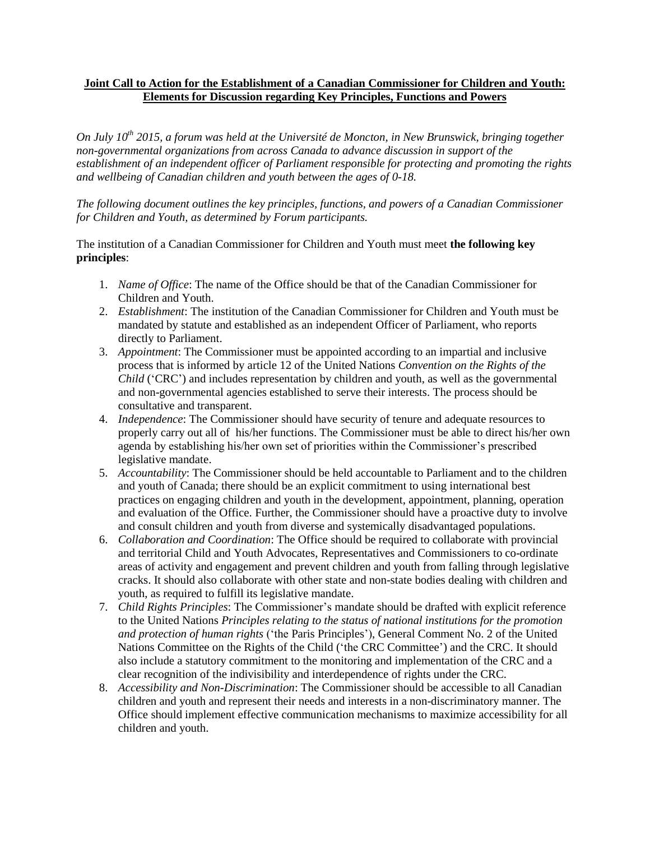## **Joint Call to Action for the Establishment of a Canadian Commissioner for Children and Youth: Elements for Discussion regarding Key Principles, Functions and Powers**

*On July 10 th 2015, a forum was held at the Université de Moncton, in New Brunswick, bringing together non-governmental organizations from across Canada to advance discussion in support of the establishment of an independent officer of Parliament responsible for protecting and promoting the rights and wellbeing of Canadian children and youth between the ages of 0-18.* 

*The following document outlines the key principles, functions, and powers of a Canadian Commissioner for Children and Youth, as determined by Forum participants.* 

## The institution of a Canadian Commissioner for Children and Youth must meet **the following key principles**:

- 1. *Name of Office*: The name of the Office should be that of the Canadian Commissioner for Children and Youth.
- 2. *Establishment*: The institution of the Canadian Commissioner for Children and Youth must be mandated by statute and established as an independent Officer of Parliament, who reports directly to Parliament.
- 3. *Appointment*: The Commissioner must be appointed according to an impartial and inclusive process that is informed by article 12 of the United Nations *Convention on the Rights of the Child* ('CRC') and includes representation by children and youth, as well as the governmental and non-governmental agencies established to serve their interests. The process should be consultative and transparent.
- 4. *Independence*: The Commissioner should have security of tenure and adequate resources to properly carry out all of his/her functions. The Commissioner must be able to direct his/her own agenda by establishing his/her own set of priorities within the Commissioner's prescribed legislative mandate.
- 5. *Accountability*: The Commissioner should be held accountable to Parliament and to the children and youth of Canada; there should be an explicit commitment to using international best practices on engaging children and youth in the development, appointment, planning, operation and evaluation of the Office. Further, the Commissioner should have a proactive duty to involve and consult children and youth from diverse and systemically disadvantaged populations.
- 6. *Collaboration and Coordination*: The Office should be required to collaborate with provincial and territorial Child and Youth Advocates, Representatives and Commissioners to co-ordinate areas of activity and engagement and prevent children and youth from falling through legislative cracks. It should also collaborate with other state and non-state bodies dealing with children and youth, as required to fulfill its legislative mandate.
- 7. *Child Rights Principles*: The Commissioner's mandate should be drafted with explicit reference to the United Nations *Principles relating to the status of national institutions for the promotion and protection of human rights* ('the Paris Principles'), General Comment No. 2 of the United Nations Committee on the Rights of the Child ('the CRC Committee') and the CRC. It should also include a statutory commitment to the monitoring and implementation of the CRC and a clear recognition of the indivisibility and interdependence of rights under the CRC.
- 8. *Accessibility and Non-Discrimination*: The Commissioner should be accessible to all Canadian children and youth and represent their needs and interests in a non-discriminatory manner. The Office should implement effective communication mechanisms to maximize accessibility for all children and youth.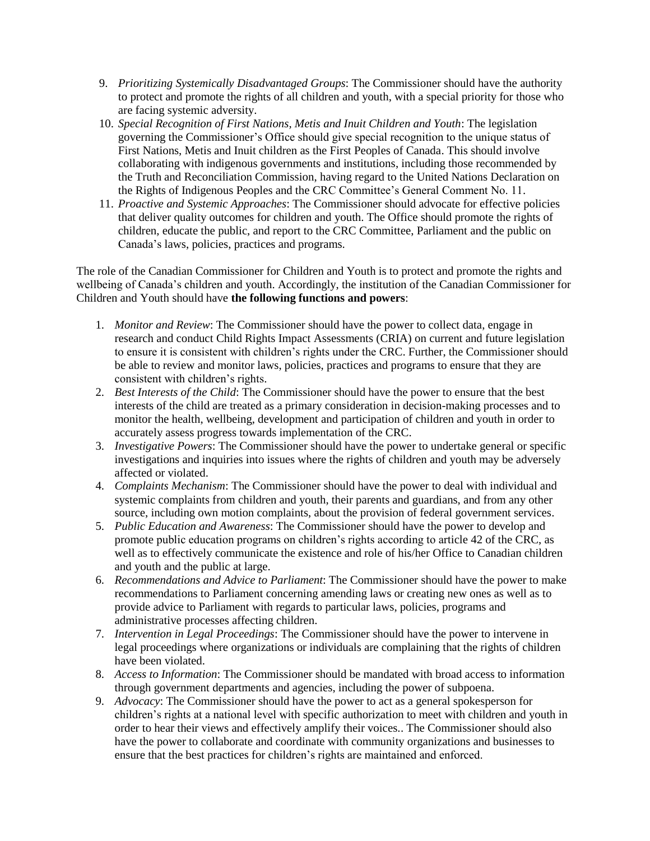- 9. *Prioritizing Systemically Disadvantaged Groups*: The Commissioner should have the authority to protect and promote the rights of all children and youth, with a special priority for those who are facing systemic adversity.
- 10. *Special Recognition of First Nations, Metis and Inuit Children and Youth*: The legislation governing the Commissioner's Office should give special recognition to the unique status of First Nations, Metis and Inuit children as the First Peoples of Canada. This should involve collaborating with indigenous governments and institutions, including those recommended by the Truth and Reconciliation Commission, having regard to the United Nations Declaration on the Rights of Indigenous Peoples and the CRC Committee's General Comment No. 11.
- 11. *Proactive and Systemic Approaches*: The Commissioner should advocate for effective policies that deliver quality outcomes for children and youth. The Office should promote the rights of children, educate the public, and report to the CRC Committee, Parliament and the public on Canada's laws, policies, practices and programs.

The role of the Canadian Commissioner for Children and Youth is to protect and promote the rights and wellbeing of Canada's children and youth. Accordingly, the institution of the Canadian Commissioner for Children and Youth should have **the following functions and powers**:

- 1. *Monitor and Review*: The Commissioner should have the power to collect data, engage in research and conduct Child Rights Impact Assessments (CRIA) on current and future legislation to ensure it is consistent with children's rights under the CRC. Further, the Commissioner should be able to review and monitor laws, policies, practices and programs to ensure that they are consistent with children's rights.
- 2. *Best Interests of the Child*: The Commissioner should have the power to ensure that the best interests of the child are treated as a primary consideration in decision-making processes and to monitor the health, wellbeing, development and participation of children and youth in order to accurately assess progress towards implementation of the CRC.
- 3. *Investigative Powers*: The Commissioner should have the power to undertake general or specific investigations and inquiries into issues where the rights of children and youth may be adversely affected or violated.
- 4. *Complaints Mechanism*: The Commissioner should have the power to deal with individual and systemic complaints from children and youth, their parents and guardians, and from any other source, including own motion complaints, about the provision of federal government services.
- 5. *Public Education and Awareness*: The Commissioner should have the power to develop and promote public education programs on children's rights according to article 42 of the CRC, as well as to effectively communicate the existence and role of his/her Office to Canadian children and youth and the public at large.
- 6. *Recommendations and Advice to Parliament*: The Commissioner should have the power to make recommendations to Parliament concerning amending laws or creating new ones as well as to provide advice to Parliament with regards to particular laws, policies, programs and administrative processes affecting children.
- 7. *Intervention in Legal Proceedings*: The Commissioner should have the power to intervene in legal proceedings where organizations or individuals are complaining that the rights of children have been violated.
- 8. *Access to Information*: The Commissioner should be mandated with broad access to information through government departments and agencies, including the power of subpoena.
- 9. *Advocacy*: The Commissioner should have the power to act as a general spokesperson for children's rights at a national level with specific authorization to meet with children and youth in order to hear their views and effectively amplify their voices.. The Commissioner should also have the power to collaborate and coordinate with community organizations and businesses to ensure that the best practices for children's rights are maintained and enforced.